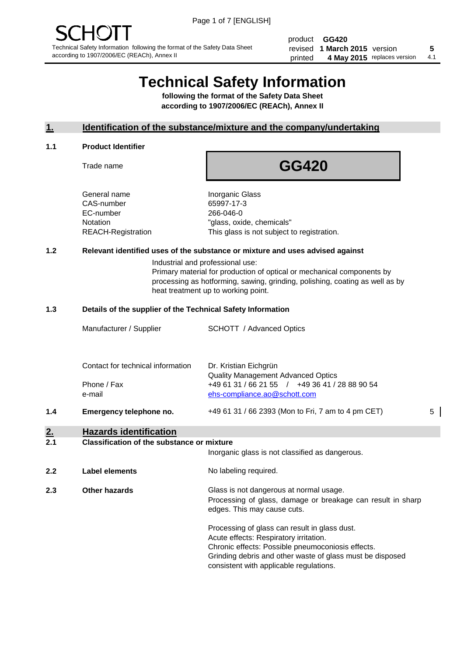product **GG420** revised **5 1 March 2015** version printed 4 May 2015 replaces version 4.1

# **Technical Safety Information**

**following the format of the Safety Data Sheet according to 1907/2006/EC (REACh), Annex II**

# **1. Identification of the substance/mixture and the company/undertaking**

#### **1.1 Product Identifier**

Trade name

# **GG420**

General name **Inorganic Glass** CAS-number 65997-17-3 EC-number 266-046-0

Notation "glass, oxide, chemicals" REACH-Registration This glass is not subject to registration.

# **1.2 Relevant identified uses of the substance or mixture and uses advised against**

Industrial and professional use: Primary material for production of optical or mechanical components by processing as hotforming, sawing, grinding, polishing, coating as well as by heat treatment up to working point.

#### **1.3 Details of the supplier of the Technical Safety Information**

|     | Manufacturer / Supplier           | <b>SCHOTT</b> / Advanced Optics                                                                                             |   |
|-----|-----------------------------------|-----------------------------------------------------------------------------------------------------------------------------|---|
|     | Contact for technical information | Dr. Kristian Eichgrün                                                                                                       |   |
|     | Phone / Fax<br>e-mail             | <b>Quality Management Advanced Optics</b><br>+49 61 31 / 66 21 55 / +49 36 41 / 28 88 90 54<br>ehs-compliance.ao@schott.com |   |
| 1.4 | Emergency telephone no.           | +49 61 31 / 66 2393 (Mon to Fri, 7 am to 4 pm CET)                                                                          | 5 |
| 2.  | <b>Hazards identification</b>     |                                                                                                                             |   |

#### **2.1 Classification of the substance or mixture**

| z. I | Glassification of the substance of imagine | Inorganic glass is not classified as dangerous.                                                                                                                                                                                                      |
|------|--------------------------------------------|------------------------------------------------------------------------------------------------------------------------------------------------------------------------------------------------------------------------------------------------------|
| 2.2  | <b>Label elements</b>                      | No labeling required.                                                                                                                                                                                                                                |
| 2.3  | Other hazards                              | Glass is not dangerous at normal usage.<br>Processing of glass, damage or breakage can result in sharp<br>edges. This may cause cuts.                                                                                                                |
|      |                                            | Processing of glass can result in glass dust.<br>Acute effects: Respiratory irritation.<br>Chronic effects: Possible pneumoconiosis effects.<br>Grinding debris and other waste of glass must be disposed<br>consistent with applicable regulations. |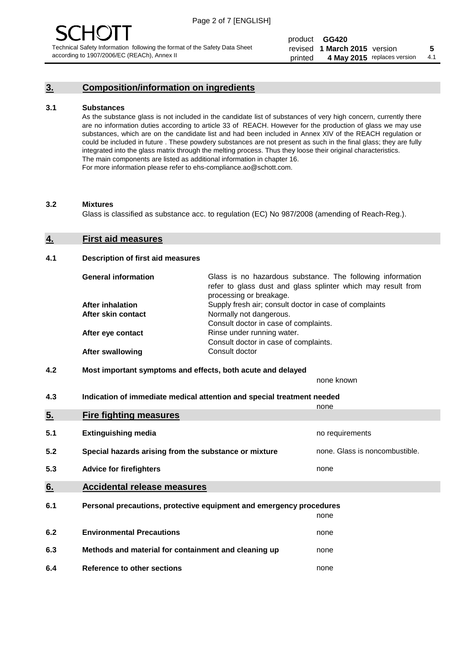# **3. Composition/information on ingredients**

#### **3.1 Substances**

As the substance glass is not included in the candidate list of substances of very high concern, currently there are no information duties according to article 33 of REACH. However for the production of glass we may use substances, which are on the candidate list and had been included in Annex XIV of the REACH regulation or could be included in future . These powdery substances are not present as such in the final glass; they are fully integrated into the glass matrix through the melting process. Thus they loose their original characteristics. The main components are listed as additional information in chapter 16. For more information please refer to ehs-compliance.ao@schott.com.

#### **3.2 Mixtures**

Glass is classified as substance acc. to regulation (EC) No 987/2008 (amending of Reach-Reg.).

#### **4. First aid measures**

#### **4.1 Description of first aid measures**

| <b>General information</b> | Glass is no hazardous substance. The following information<br>refer to glass dust and glass splinter which may result from<br>processing or breakage. |
|----------------------------|-------------------------------------------------------------------------------------------------------------------------------------------------------|
| <b>After inhalation</b>    | Supply fresh air; consult doctor in case of complaints                                                                                                |
| After skin contact         | Normally not dangerous.                                                                                                                               |
|                            | Consult doctor in case of complaints.                                                                                                                 |
| After eye contact          | Rinse under running water.                                                                                                                            |
|                            | Consult doctor in case of complaints.                                                                                                                 |
| <b>After swallowing</b>    | Consult doctor                                                                                                                                        |

### **4.2 Most important symptoms and effects, both acute and delayed**

none known

**4.3 Indication of immediate medical attention and special treatment needed** 

|     |                                                                     | none                           |
|-----|---------------------------------------------------------------------|--------------------------------|
| 5.  | <b>Fire fighting measures</b>                                       |                                |
| 5.1 | <b>Extinguishing media</b>                                          | no requirements                |
| 5.2 | Special hazards arising from the substance or mixture               | none. Glass is noncombustible. |
| 5.3 | <b>Advice for firefighters</b>                                      | none                           |
| 6.  | <b>Accidental release measures</b>                                  |                                |
| 6.1 | Personal precautions, protective equipment and emergency procedures |                                |
|     |                                                                     | none                           |
| 6.2 | <b>Environmental Precautions</b>                                    | none                           |
| 6.3 | Methods and material for containment and cleaning up                | none                           |
| 6.4 | Reference to other sections                                         | none                           |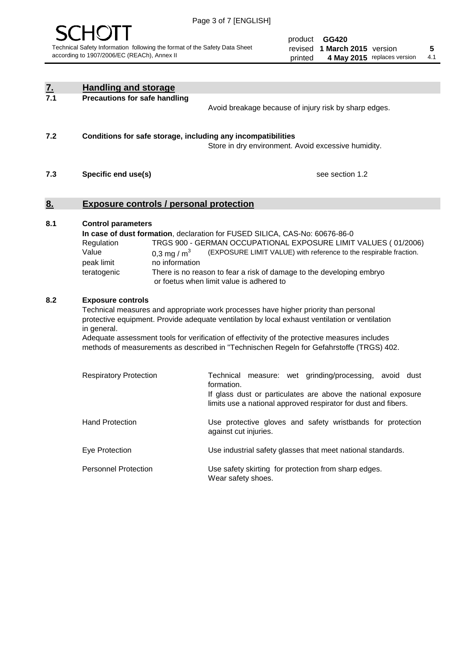

product **GG420** revised **5 1 March 2015** version printed 4 May 2015 replaces version 4.1

| $Z_{.}$ | <b>Handling and storage</b>                                                                                      |                                                                                                                                                                                                                                                                                                                                                                                     |
|---------|------------------------------------------------------------------------------------------------------------------|-------------------------------------------------------------------------------------------------------------------------------------------------------------------------------------------------------------------------------------------------------------------------------------------------------------------------------------------------------------------------------------|
| 7.1     | <b>Precautions for safe handling</b>                                                                             | Avoid breakage because of injury risk by sharp edges.                                                                                                                                                                                                                                                                                                                               |
| 7.2     | Conditions for safe storage, including any incompatibilities                                                     | Store in dry environment. Avoid excessive humidity.                                                                                                                                                                                                                                                                                                                                 |
| 7.3     | Specific end use(s)                                                                                              | see section 1.2                                                                                                                                                                                                                                                                                                                                                                     |
| 8.      | <b>Exposure controls / personal protection</b>                                                                   |                                                                                                                                                                                                                                                                                                                                                                                     |
| 8.1     | <b>Control parameters</b><br>Regulation<br>Value<br>0,3 mg / $m3$<br>peak limit<br>no information<br>teratogenic | In case of dust formation, declaration for FUSED SILICA, CAS-No: 60676-86-0<br>TRGS 900 - GERMAN OCCUPATIONAL EXPOSURE LIMIT VALUES (01/2006)<br>(EXPOSURE LIMIT VALUE) with reference to the respirable fraction.<br>There is no reason to fear a risk of damage to the developing embryo<br>or foetus when limit value is adhered to                                              |
| 8.2     | <b>Exposure controls</b><br>in general.                                                                          | Technical measures and appropriate work processes have higher priority than personal<br>protective equipment. Provide adequate ventilation by local exhaust ventilation or ventilation<br>Adequate assessment tools for verification of effectivity of the protective measures includes<br>methods of measurements as described in "Technischen Regeln for Gefahrstoffe (TRGS) 402. |
|         | <b>Respiratory Protection</b>                                                                                    | Technical measure: wet grinding/processing, avoid dust<br>formation.<br>If glass dust or particulates are above the national exposure<br>limits use a national approved respirator for dust and fibers.                                                                                                                                                                             |
|         | <b>Hand Protection</b>                                                                                           | Use protective gloves and safety wristbands for protection<br>against cut injuries.                                                                                                                                                                                                                                                                                                 |
|         | Eye Protection                                                                                                   | Use industrial safety glasses that meet national standards.                                                                                                                                                                                                                                                                                                                         |
|         | <b>Personnel Protection</b>                                                                                      | Use safety skirting for protection from sharp edges.<br>Wear safety shoes.                                                                                                                                                                                                                                                                                                          |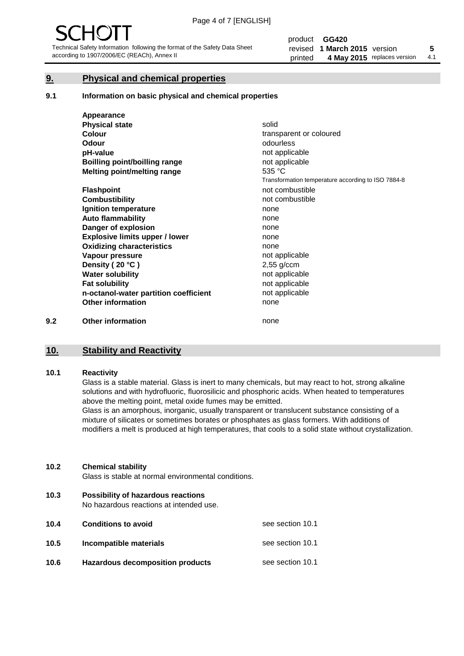# **9. Physical and chemical properties**

#### **9.1 Information on basic physical and chemical properties**

|     | Appearance                            |                                                    |
|-----|---------------------------------------|----------------------------------------------------|
|     | <b>Physical state</b>                 | solid                                              |
|     | <b>Colour</b>                         | transparent or coloured                            |
|     | <b>Odour</b>                          | odourless                                          |
|     | pH-value                              | not applicable                                     |
|     | Boilling point/boilling range         | not applicable                                     |
|     | Melting point/melting range           | 535 °C                                             |
|     |                                       | Transformation temperature according to ISO 7884-8 |
|     | <b>Flashpoint</b>                     | not combustible                                    |
|     | <b>Combustibility</b>                 | not combustible                                    |
|     | Ignition temperature                  | none                                               |
|     | <b>Auto flammability</b>              | none                                               |
|     | Danger of explosion                   | none                                               |
|     | <b>Explosive limits upper / lower</b> | none                                               |
|     | <b>Oxidizing characteristics</b>      | none                                               |
|     | Vapour pressure                       | not applicable                                     |
|     | Density (20 °C)                       | $2,55$ g/ccm                                       |
|     | <b>Water solubility</b>               | not applicable                                     |
|     | <b>Fat solubility</b>                 | not applicable                                     |
|     | n-octanol-water partition coefficient | not applicable                                     |
|     | <b>Other information</b>              | none                                               |
| 9.2 | <b>Other information</b>              | none                                               |

# **10. Stability and Reactivity**

#### **10.1 Reactivity**

Glass is a stable material. Glass is inert to many chemicals, but may react to hot, strong alkaline solutions and with hydrofluoric, fluorosilicic and phosphoric acids. When heated to temperatures above the melting point, metal oxide fumes may be emitted.

Glass is an amorphous, inorganic, usually transparent or translucent substance consisting of a mixture of silicates or sometimes borates or phosphates as glass formers. With additions of modifiers a melt is produced at high temperatures, that cools to a solid state without crystallization.

#### **10.2 Chemical stability**

Glass is stable at normal environmental conditions.

**10.3 Possibility of hazardous reactions** 

No hazardous reactions at intended use.

| 10.4 | <b>Conditions to avoid</b>              | see section 10.1 |
|------|-----------------------------------------|------------------|
| 10.5 | Incompatible materials                  | see section 10.1 |
| 10.6 | <b>Hazardous decomposition products</b> | see section 10.1 |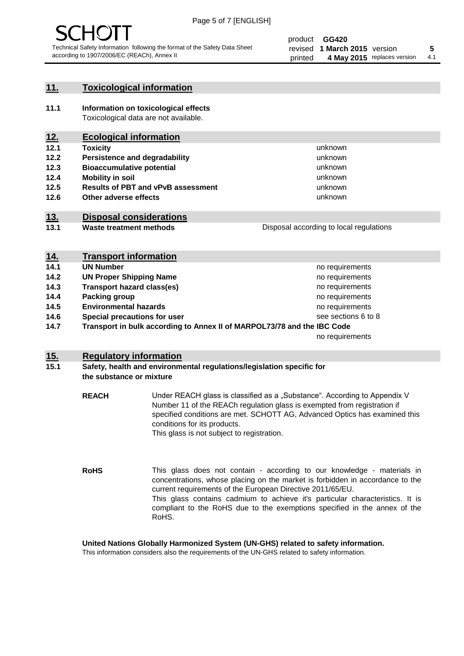

# **11. Toxicological information**

**11.1 Information on toxicological effects** Toxicological data are not available.

# **12. Ecological information**

- **12.1 Toxicity**
- **12.2 Persistence and degradability**
- **12.3 Bioaccumulative potential**
- **12.4 Mobility in soil**
- **12.5 Results of PBT and vPvB assessment**
- **12.6 Other adverse effects**

# **13. Disposal considerations**

**13.1 Waste treatment methods**

| Disposal according to local regulations |
|-----------------------------------------|
|                                         |

unknown unknown unknown unknown

unknown unknown

| <u>14.</u> | <b>Transport information</b>                                            |                     |
|------------|-------------------------------------------------------------------------|---------------------|
| 14.1       | <b>UN Number</b>                                                        | no requirements     |
| 14.2       | <b>UN Proper Shipping Name</b>                                          | no requirements     |
| 14.3       | <b>Transport hazard class(es)</b>                                       | no requirements     |
| 14.4       | Packing group                                                           | no requirements     |
| 14.5       | <b>Environmental hazards</b>                                            | no requirements     |
| 14.6       | Special precautions for user                                            | see sections 6 to 8 |
| 14.7       | Transport in bulk according to Annex II of MARPOL73/78 and the IBC Code |                     |
|            |                                                                         | no requirements     |

# **15. Regulatory information**

### **15.1 Safety, health and environmental regulations/legislation specific for the substance or mixture**

**REACH** Under REACH glass is classified as a "Substance". According to Appendix V Number 11 of the REACh regulation glass is exempted from registration if specified conditions are met. SCHOTT AG, Advanced Optics has examined this conditions for its products. This glass is not subject to registration.

**RoHS** This glass does not contain - according to our knowledge - materials in concentrations, whose placing on the market is forbidden in accordance to the current requirements of the European Directive 2011/65/EU. This glass contains cadmium to achieve it's particular characteristics. It is compliant to the RoHS due to the exemptions specified in the annex of the RoHS.

**United Nations Globally Harmonized System (UN-GHS) related to safety information.**

This information considers also the requirements of the UN-GHS related to safety information.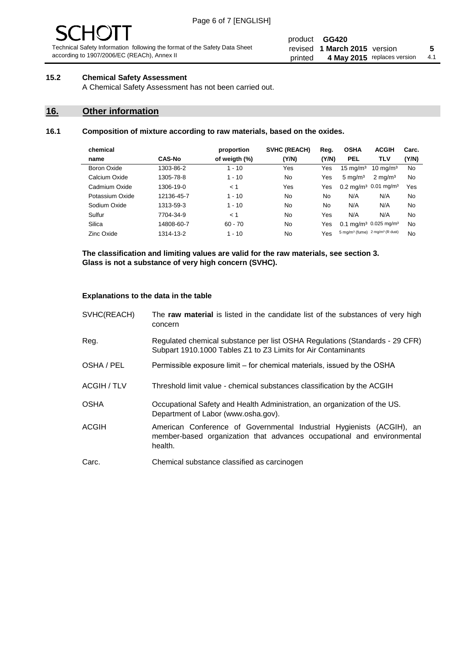#### product **GG420** revised **5 1 March 2015** version printed 4 May 2015 replaces version 4.1

# **15.2 Chemical Safety Assessment**

A Chemical Safety Assessment has not been carried out.

# **16. Other information**

### **16.1 Composition of mixture according to raw materials, based on the oxides.**

| chemical        |               | proportion    | <b>SVHC (REACH)</b> | Reg.  | <b>OSHA</b>                                             | <b>ACGIH</b>                                  | Carc. |
|-----------------|---------------|---------------|---------------------|-------|---------------------------------------------------------|-----------------------------------------------|-------|
| name            | <b>CAS-No</b> | of weigth (%) | (Y/N)               | (Y/N) | <b>PEL</b>                                              | TLV                                           | (Y/N) |
| Boron Oxide     | 1303-86-2     | $1 - 10$      | Yes                 | Yes   | $15 \text{ mg/m}^3$                                     | $10 \text{ mg/m}^3$                           | No    |
| Calcium Oxide   | 1305-78-8     | $1 - 10$      | No                  | Yes   | $5 \text{ mg/m}^3$                                      | $2 \text{ mg/m}^3$                            | No    |
| Cadmium Oxide   | 1306-19-0     | < 1           | Yes                 | Yes   |                                                         | $0.2 \text{ mg/m}^3$ 0.01 mg/m <sup>3</sup>   | Yes   |
| Potassium Oxide | 12136-45-7    | $1 - 10$      | No                  | No    | N/A                                                     | N/A                                           | No    |
| Sodium Oxide    | 1313-59-3     | $1 - 10$      | No                  | No    | N/A                                                     | N/A                                           | No    |
| Sulfur          | 7704-34-9     | < 1           | No                  | Yes   | N/A                                                     | N/A                                           | No    |
| Silica          | 14808-60-7    | $60 - 70$     | No                  | Yes   |                                                         | 0.1 mg/m <sup>3</sup> 0.025 mg/m <sup>3</sup> | No    |
| Zinc Oxide      | 1314-13-2     | $1 - 10$      | No                  | Yes   | 5 mg/m <sup>3</sup> (fume) 2 mg/m <sup>3</sup> (R dust) |                                               | No    |

**The classification and limiting values are valid for the raw materials, see section 3. Glass is not a substance of very high concern (SVHC).**

#### **Explanations to the data in the table**

| SVHC(REACH)        | The raw material is listed in the candidate list of the substances of very high<br>concern                                                                 |
|--------------------|------------------------------------------------------------------------------------------------------------------------------------------------------------|
| Reg.               | Regulated chemical substance per list OSHA Regulations (Standards - 29 CFR)<br>Subpart 1910.1000 Tables Z1 to Z3 Limits for Air Contaminants               |
| OSHA / PEL         | Permissible exposure limit – for chemical materials, issued by the OSHA                                                                                    |
| <b>ACGIH / TLV</b> | Threshold limit value - chemical substances classification by the ACGIH                                                                                    |
| <b>OSHA</b>        | Occupational Safety and Health Administration, an organization of the US.<br>Department of Labor (www.osha.gov).                                           |
| ACGIH              | American Conference of Governmental Industrial Hygienists (ACGIH), an<br>member-based organization that advances occupational and environmental<br>health. |
| Carc.              | Chemical substance classified as carcinogen                                                                                                                |